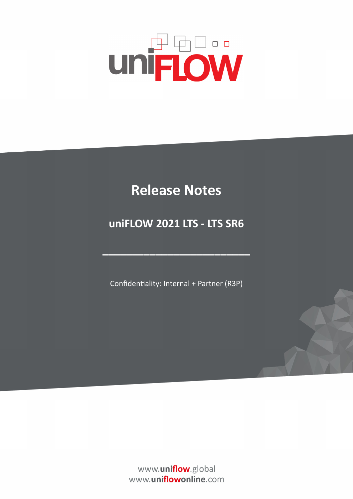# **UNFLOW**

## **Release Notes**

## **uniFLOW 2021 LTS - LTS SR6**

Confidentiality: Internal + Partner (R3P)

**–––––––––––––––––––––––––**

www.uniflow.global www.uniflowonline.com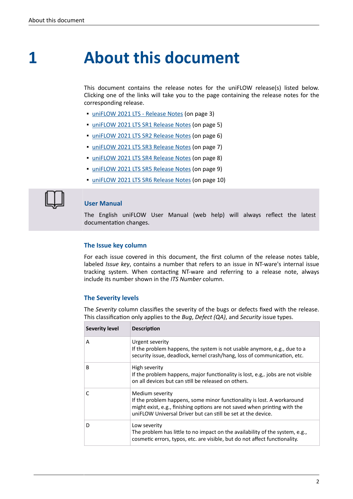**1**

## **About this document**

This document contains the release notes for the uniFLOW release(s) listed below. Clicking one of the links will take you to the page containing the release notes for the corresponding release.

- [uniFLOW 2021 LTS Release Notes](#page-2-0) (on page 3)
- **· [uniFLOW 2021 LTS SR1 Release Notes](#page-4-0) (on page 5)**
- **· [uniFLOW 2021 LTS SR2 Release Notes](#page-5-0) (on page 6)**
- [uniFLOW 2021 LTS SR3 Release Notes](#page-6-0) (on page 7)
- [uniFLOW 2021 LTS SR4 Release Notes](#page-7-0) (on page 8)
- [uniFLOW 2021 LTS SR5 Release Notes](#page-8-0) (on page 9)
- [uniFLOW 2021 LTS SR6 Release Notes](#page-9-0) (on page 10)



#### **User Manual**

The English uniFLOW User Manual (web help) will always reflect the latest documentation changes.

#### **The Issue key column**

For each issue covered in this document, the first column of the release notes table, labeled *Issue key*, contains a number that refers to an issue in NT-ware's internal issue tracking system. When contacting NT-ware and referring to a release note, always include its number shown in the *ITS Number* column.

#### **The Severity levels**

The *Severity* column classifies the severity of the bugs or defects fixed with the release. This classification only applies to the *Bug*, *Defect (QA)*, and *Security* issue types.

| Severity level | <b>Description</b>                                                                                                                                                                                                                     |
|----------------|----------------------------------------------------------------------------------------------------------------------------------------------------------------------------------------------------------------------------------------|
| A              | Urgent severity<br>If the problem happens, the system is not usable anymore, e.g., due to a<br>security issue, deadlock, kernel crash/hang, loss of communication, etc.                                                                |
| B              | High severity<br>If the problem happens, major functionality is lost, e.g., jobs are not visible<br>on all devices but can still be released on others.                                                                                |
|                | Medium severity<br>If the problem happens, some minor functionality is lost. A workaround<br>might exist, e.g., finishing options are not saved when printing with the<br>uniFLOW Universal Driver but can still be set at the device. |
| D              | Low severity<br>The problem has little to no impact on the availability of the system, e.g.,<br>cosmetic errors, typos, etc. are visible, but do not affect functionality.                                                             |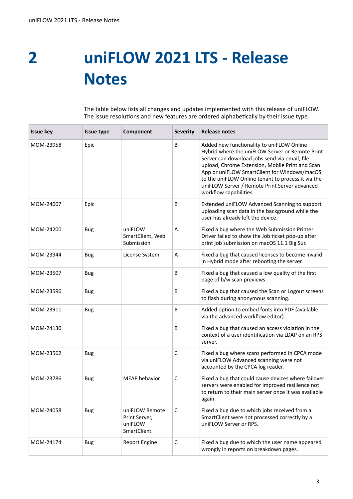<span id="page-2-0"></span>**uniFLOW 2021 LTS - Release Notes 2**

| <b>Issue key</b> | Issue type | Component                                                 | <b>Severity</b> | <b>Release notes</b>                                                                                                                                                                                                                                                                                                                                                              |
|------------------|------------|-----------------------------------------------------------|-----------------|-----------------------------------------------------------------------------------------------------------------------------------------------------------------------------------------------------------------------------------------------------------------------------------------------------------------------------------------------------------------------------------|
| MOM-23958        | Epic       |                                                           | B               | Added new functionality to uniFLOW Online<br>Hybrid where the uniFLOW Server or Remote Print<br>Server can download jobs send via email, file<br>upload, Chrome Extension, Mobile Print and Scan<br>App or uniFLOW SmartClient for Windows/macOS<br>to the uniFLOW Online tenant to process it via the<br>uniFLOW Server / Remote Print Server advanced<br>workflow capabilities. |
| MOM-24007        | Epic       |                                                           | B               | Extended uniFLOW Advanced Scanning to support<br>uploading scan data in the background while the<br>user has already left the device.                                                                                                                                                                                                                                             |
| MOM-24200        | <b>Bug</b> | uniFLOW<br>SmartClient, Web<br>Submission                 | A               | Fixed a bug where the Web Submission Printer<br>Driver failed to show the Job ticket pop-up after<br>print job submission on macOS 11.1 Big Sur.                                                                                                                                                                                                                                  |
| MOM-23944        | <b>Bug</b> | License System                                            | A               | Fixed a bug that caused licenses to become invalid<br>in Hybrid mode after rebooting the server.                                                                                                                                                                                                                                                                                  |
| MOM-23507        | <b>Bug</b> |                                                           | B               | Fixed a bug that caused a low quality of the first<br>page of b/w scan previews.                                                                                                                                                                                                                                                                                                  |
| MOM-23596        | <b>Bug</b> |                                                           | B               | Fixed a bug that caused the Scan or Logout screens<br>to flash during anonymous scanning.                                                                                                                                                                                                                                                                                         |
| MOM-23911        | <b>Bug</b> |                                                           | B               | Added option to embed fonts into PDF (available<br>via the advanced workflow editor).                                                                                                                                                                                                                                                                                             |
| MOM-24130        |            |                                                           | B               | Fixed a bug that caused an access violation in the<br>context of a user identification via LDAP on an RPS<br>server.                                                                                                                                                                                                                                                              |
| MOM-23562        | <b>Bug</b> |                                                           | C               | Fixed a bug where scans performed in CPCA mode<br>via uniFLOW Advanced scanning were not<br>accounted by the CPCA log reader.                                                                                                                                                                                                                                                     |
| MOM-23786        | <b>Bug</b> | <b>MEAP</b> behavior                                      | С               | Fixed a bug that could cause devices where failover<br>servers were enabled for improved resilience not<br>to return to their main server once it was available<br>again.                                                                                                                                                                                                         |
| MOM-24058        | <b>Bug</b> | uniFLOW Remote<br>Print Server,<br>uniFLOW<br>SmartClient | C               | Fixed a bug due to which jobs received from a<br>SmartClient were not processed correctly by a<br>uniFLOW Server or RPS.                                                                                                                                                                                                                                                          |
| MOM-24174        | <b>Bug</b> | Report Engine                                             | C               | Fixed a bug due to which the user name appeared<br>wrongly in reports on breakdown pages.                                                                                                                                                                                                                                                                                         |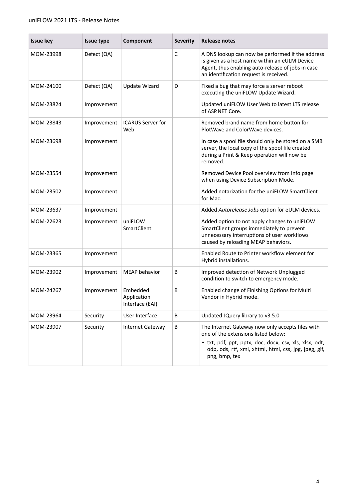| <b>Issue key</b> | <b>Issue type</b> | Component                                  | <b>Severity</b> | <b>Release notes</b>                                                                                                                                                                                                        |
|------------------|-------------------|--------------------------------------------|-----------------|-----------------------------------------------------------------------------------------------------------------------------------------------------------------------------------------------------------------------------|
| MOM-23998        | Defect (QA)       |                                            | C               | A DNS lookup can now be performed if the address<br>is given as a host name within an eULM Device<br>Agent, thus enabling auto-release of jobs in case<br>an identification request is received.                            |
| MOM-24100        | Defect (QA)       | <b>Update Wizard</b>                       | D               | Fixed a bug that may force a server reboot<br>executing the uniFLOW Update Wizard.                                                                                                                                          |
| MOM-23824        | Improvement       |                                            |                 | Updated uniFLOW User Web to latest LTS release<br>of ASP.NET Core.                                                                                                                                                          |
| MOM-23843        | Improvement       | <b>ICARUS Server for</b><br>Web            |                 | Removed brand name from home button for<br>PlotWave and ColorWave devices.                                                                                                                                                  |
| MOM-23698        | Improvement       |                                            |                 | In case a spool file should only be stored on a SMB<br>server, the local copy of the spool file created<br>during a Print & Keep operation will now be<br>removed.                                                          |
| MOM-23554        | Improvement       |                                            |                 | Removed Device Pool overview from Info page<br>when using Device Subscription Mode.                                                                                                                                         |
| MOM-23502        | Improvement       |                                            |                 | Added notarization for the uniFLOW SmartClient<br>for Mac.                                                                                                                                                                  |
| MOM-23637        | Improvement       |                                            |                 | Added Autorelease Jobs option for eULM devices.                                                                                                                                                                             |
| MOM-22623        | Improvement       | uniFLOW<br>SmartClient                     |                 | Added option to not apply changes to uniFLOW<br>SmartClient groups immediately to prevent<br>unnecessary interruptions of user workflows<br>caused by reloading MEAP behaviors.                                             |
| MOM-23365        | Improvement       |                                            |                 | Enabled Route to Printer workflow element for<br>Hybrid installations.                                                                                                                                                      |
| MOM-23902        | Improvement       | MEAP behavior                              | В               | Improved detection of Network Unplugged<br>condition to switch to emergency mode.                                                                                                                                           |
| MOM-24267        | Improvement       | Embedded<br>Application<br>Interface (EAI) | B               | Enabled change of Finishing Options for Multi<br>Vendor in Hybrid mode.                                                                                                                                                     |
| MOM-23964        | Security          | User Interface                             | B               | Updated JQuery library to v3.5.0                                                                                                                                                                                            |
| MOM-23907        | Security          | <b>Internet Gateway</b>                    | B               | The Internet Gateway now only accepts files with<br>one of the extensions listed below:<br>• txt, pdf, ppt, pptx, doc, docx, csv, xls, xlsx, odt,<br>odp, ods, rtf, xml, xhtml, html, css, jpg, jpeg, gif,<br>png, bmp, tex |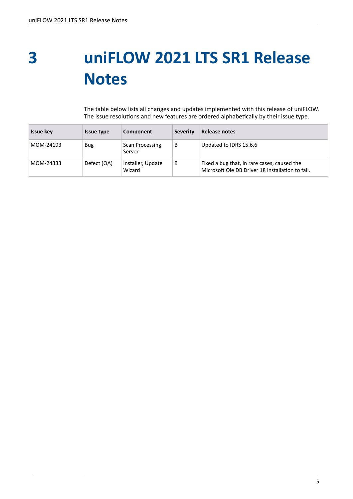### <span id="page-4-0"></span>**uniFLOW 2021 LTS SR1 Release Notes 3**

| <b>Issue key</b> | <b>Issue type</b> | Component                   | <b>Severity</b> | Release notes                                                                                   |
|------------------|-------------------|-----------------------------|-----------------|-------------------------------------------------------------------------------------------------|
| MOM-24193        | Bug               | Scan Processing<br>Server   | B               | Updated to IDRS 15.6.6                                                                          |
| MOM-24333        | Defect (QA)       | Installer, Update<br>Wizard | B               | Fixed a bug that, in rare cases, caused the<br>Microsoft Ole DB Driver 18 installation to fail. |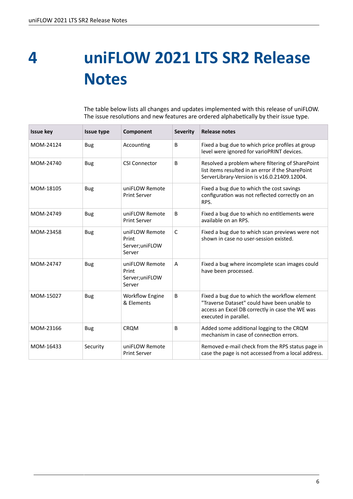<span id="page-5-0"></span>**uniFLOW 2021 LTS SR2 Release Notes 4**

| <b>Issue key</b> | Issue type | Component                                            | <b>Severity</b> | <b>Release notes</b>                                                                                                                                                      |
|------------------|------------|------------------------------------------------------|-----------------|---------------------------------------------------------------------------------------------------------------------------------------------------------------------------|
| MOM-24124        | <b>Bug</b> | Accounting                                           | B               | Fixed a bug due to which price profiles at group<br>level were ignored for varioPRINT devices.                                                                            |
| MOM-24740        | <b>Bug</b> | <b>CSI Connector</b>                                 | B               | Resolved a problem where filtering of SharePoint<br>list items resulted in an error if the SharePoint<br>ServerLibrary-Version is v16.0.21409.12004.                      |
| MOM-18105        | <b>Bug</b> | uniFLOW Remote<br><b>Print Server</b>                |                 | Fixed a bug due to which the cost savings<br>configuration was not reflected correctly on an<br>RPS.                                                                      |
| MOM-24749        | <b>Bug</b> | uniFLOW Remote<br><b>Print Server</b>                | B               | Fixed a bug due to which no entitlements were<br>available on an RPS.                                                                                                     |
| MOM-23458        | <b>Bug</b> | uniFLOW Remote<br>Print<br>Server;uniFLOW<br>Server  | $\mathsf{C}$    | Fixed a bug due to which scan previews were not<br>shown in case no user-session existed.                                                                                 |
| MOM-24747        | <b>Bug</b> | uniFLOW Remote<br>Print<br>Server; uniFLOW<br>Server | A               | Fixed a bug where incomplete scan images could<br>have been processed.                                                                                                    |
| MOM-15027        | <b>Bug</b> | <b>Workflow Engine</b><br>& Elements                 | B               | Fixed a bug due to which the workflow element<br>"Traverse Dataset" could have been unable to<br>access an Excel DB correctly in case the WE was<br>executed in parallel. |
| MOM-23166        | <b>Bug</b> | <b>CROM</b>                                          | B               | Added some additional logging to the CRQM<br>mechanism in case of connection errors.                                                                                      |
| MOM-16433        | Security   | uniFLOW Remote<br><b>Print Server</b>                |                 | Removed e-mail check from the RPS status page in<br>case the page is not accessed from a local address.                                                                   |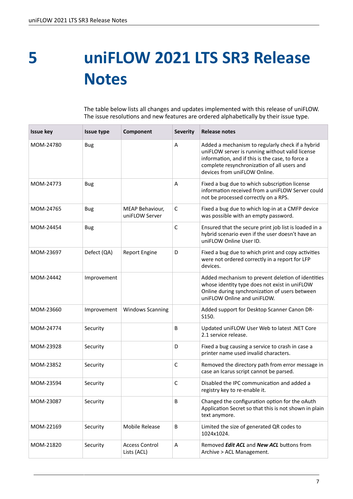<span id="page-6-0"></span>**5**

# **uniFLOW 2021 LTS SR3 Release Notes**

| <b>Issue key</b> | Issue type  | Component                            | <b>Severity</b> | <b>Release notes</b>                                                                                                                                                                                                                   |
|------------------|-------------|--------------------------------------|-----------------|----------------------------------------------------------------------------------------------------------------------------------------------------------------------------------------------------------------------------------------|
| MOM-24780        | Bug         |                                      | A               | Added a mechanism to regularly check if a hybrid<br>uniFLOW server is running without valid license<br>information, and if this is the case, to force a<br>complete resynchronization of all users and<br>devices from uniFLOW Online. |
| MOM-24773        | <b>Bug</b>  |                                      | A               | Fixed a bug due to which subscription license<br>information received from a uniFLOW Server could<br>not be processed correctly on a RPS.                                                                                              |
| MOM-24765        | <b>Bug</b>  | MEAP Behaviour,<br>uniFLOW Server    | $\mathsf C$     | Fixed a bug due to which log-in at a CMFP device<br>was possible with an empty password.                                                                                                                                               |
| MOM-24454        | Bug         |                                      | $\mathsf{C}$    | Ensured that the secure print job list is loaded in a<br>hybrid scenario even if the user doesn't have an<br>uniFLOW Online User ID.                                                                                                   |
| MOM-23697        | Defect (QA) | <b>Report Engine</b>                 | D               | Fixed a bug due to which print and copy activities<br>were not ordered correctly in a report for LFP<br>devices.                                                                                                                       |
| MOM-24442        | Improvement |                                      |                 | Added mechanism to prevent deletion of identities<br>whose identity type does not exist in uniFLOW<br>Online during synchronization of users between<br>uniFLOW Online and uniFLOW.                                                    |
| MOM-23660        | Improvement | <b>Windows Scanning</b>              |                 | Added support for Desktop Scanner Canon DR-<br>S150.                                                                                                                                                                                   |
| MOM-24774        | Security    |                                      | B               | Updated uniFLOW User Web to latest .NET Core<br>2.1 service release.                                                                                                                                                                   |
| MOM-23928        | Security    |                                      | D               | Fixed a bug causing a service to crash in case a<br>printer name used invalid characters.                                                                                                                                              |
| MOM-23852        | Security    |                                      | С               | Removed the directory path from error message in<br>case an Icarus script cannot be parsed.                                                                                                                                            |
| MOM-23594        | Security    |                                      | $\mathsf C$     | Disabled the IPC communication and added a<br>registry key to re-enable it.                                                                                                                                                            |
| MOM-23087        | Security    |                                      | B               | Changed the configuration option for the oAuth<br>Application Secret so that this is not shown in plain<br>text anymore.                                                                                                               |
| MOM-22169        | Security    | Mobile Release                       | В               | Limited the size of generated QR codes to<br>1024x1024.                                                                                                                                                                                |
| MOM-21820        | Security    | <b>Access Control</b><br>Lists (ACL) | Α               | Removed Edit ACL and New ACL buttons from<br>Archive > ACL Management.                                                                                                                                                                 |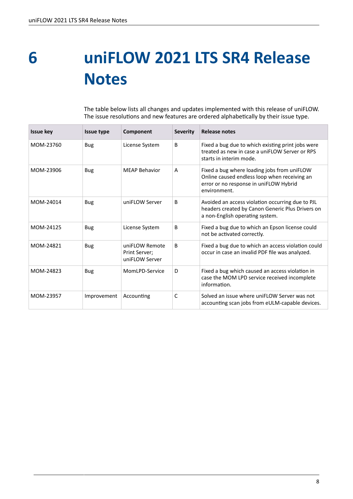<span id="page-7-0"></span>**uniFLOW 2021 LTS SR4 Release Notes 6**

| <b>Issue key</b> | Issue type  | Component                                         | <b>Severity</b> | <b>Release notes</b>                                                                                                                                  |
|------------------|-------------|---------------------------------------------------|-----------------|-------------------------------------------------------------------------------------------------------------------------------------------------------|
| MOM-23760        | Bug         | License System                                    | B               | Fixed a bug due to which existing print jobs were<br>treated as new in case a uniFLOW Server or RPS<br>starts in interim mode.                        |
| MOM-23906        | <b>Bug</b>  | <b>MEAP Behavior</b>                              | A               | Fixed a bug where loading jobs from uniFLOW<br>Online caused endless loop when receiving an<br>error or no response in uniFLOW Hybrid<br>environment. |
| MOM-24014        | Bug         | uniFLOW Server                                    | B.              | Avoided an access violation occurring due to PJL<br>headers created by Canon Generic Plus Drivers on<br>a non-English operating system.               |
| MOM-24125        | <b>Bug</b>  | License System                                    | B               | Fixed a bug due to which an Epson license could<br>not be activated correctly.                                                                        |
| MOM-24821        | Bug         | uniFLOW Remote<br>Print Server;<br>uniFLOW Server | B               | Fixed a bug due to which an access violation could<br>occur in case an invalid PDF file was analyzed.                                                 |
| MOM-24823        | <b>Bug</b>  | MomLPD-Service                                    | D               | Fixed a bug which caused an access violation in<br>case the MOM LPD service received incomplete<br>information.                                       |
| MOM-23957        | Improvement | Accounting                                        | C               | Solved an issue where uniFLOW Server was not<br>accounting scan jobs from eULM-capable devices.                                                       |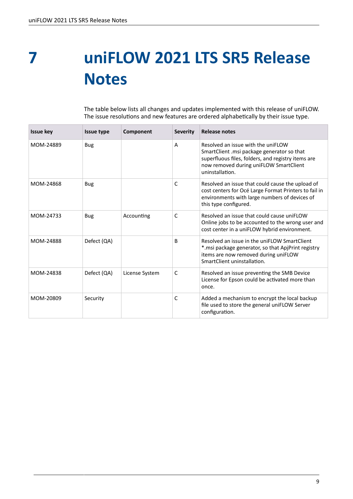<span id="page-8-0"></span>**uniFLOW 2021 LTS SR5 Release Notes 7**

| <b>Issue kev</b> | <b>Issue type</b> | Component      | <b>Severity</b> | <b>Release notes</b>                                                                                                                                                                                |
|------------------|-------------------|----------------|-----------------|-----------------------------------------------------------------------------------------------------------------------------------------------------------------------------------------------------|
| MOM-24889        | <b>Bug</b>        |                | A               | Resolved an issue with the uniFLOW<br>SmartClient .msi package generator so that<br>superfluous files, folders, and registry items are<br>now removed during uniFLOW SmartClient<br>uninstallation. |
| MOM-24868        | <b>Bug</b>        |                | C               | Resolved an issue that could cause the upload of<br>cost centers for Océ Large Format Printers to fail in<br>environments with large numbers of devices of<br>this type configured.                 |
| MOM-24733        | <b>Bug</b>        | Accounting     | C               | Resolved an issue that could cause uniFLOW<br>Online jobs to be accounted to the wrong user and<br>cost center in a uniFLOW hybrid environment.                                                     |
| MOM-24888        | Defect (QA)       |                | B               | Resolved an issue in the uniFLOW SmartClient<br>*.msi package generator, so that ApjPrint registry<br>items are now removed during uniFLOW<br>SmartClient uninstallation.                           |
| MOM-24838        | Defect (QA)       | License System | C               | Resolved an issue preventing the SMB Device<br>License for Epson could be activated more than<br>once.                                                                                              |
| MOM-20809        | Security          |                | C               | Added a mechanism to encrypt the local backup<br>file used to store the general uniFLOW Server<br>configuration.                                                                                    |